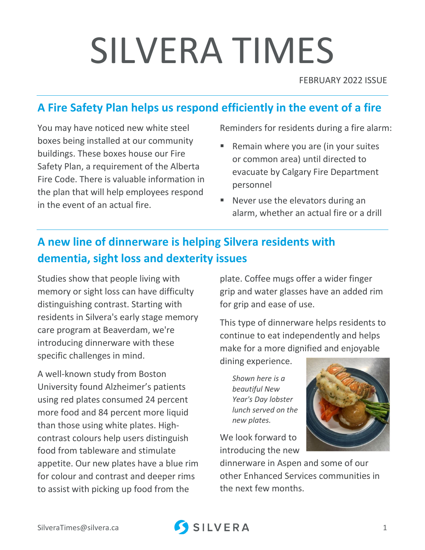# SILVERA TIMES

FEBRUARY 2022 ISSUE

## **A Fire Safety Plan helps us respond efficiently in the event of a fire**

You may have noticed new white steel boxes being installed at our community buildings. These boxes house our Fire Safety Plan, a requirement of the Alberta Fire Code. There is valuable information in the plan that will help employees respond in the event of an actual fire.

Reminders for residents during a fire alarm:

- Remain where you are (in your suites or common area) until directed to evacuate by Calgary Fire Department personnel
- Never use the elevators during an alarm, whether an actual fire or a drill

## **A new line of dinnerware is helping Silvera residents with dementia, sight loss and dexterity issues**

Studies show that people living with memory or sight loss can have difficulty distinguishing contrast. Starting with residents in Silvera's early stage memory care program at Beaverdam, we're introducing dinnerware with these specific challenges in mind.

A well-known study from Boston University found Alzheimer's patients using red plates consumed 24 percent more food and 84 percent more liquid than those using white plates. Highcontrast colours help users distinguish food from tableware and stimulate appetite. Our new plates have a blue rim for colour and contrast and deeper rims to assist with picking up food from the

plate. Coffee mugs offer a wider finger grip and water glasses have an added rim for grip and ease of use.

This type of dinnerware helps residents to continue to eat independently and helps make for a more dignified and enjoyable

dining experience.

*Shown here is a beautiful New Year's Day lobster lunch served on the new plates.* 

We look forward to introducing the new



dinnerware in Aspen and some of our other Enhanced Services communities in the next few months.

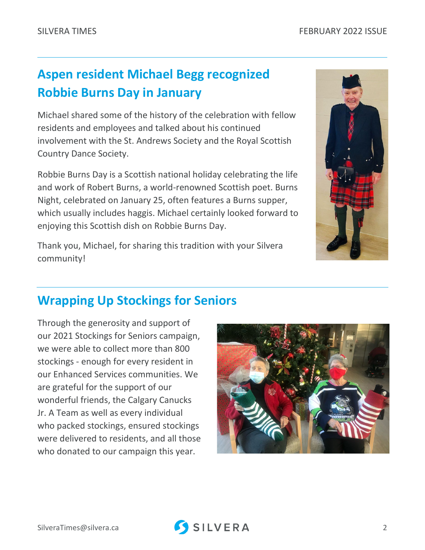## **Aspen resident Michael Begg recognized Robbie Burns Day in January**

Michael shared some of the history of the celebration with fellow residents and employees and talked about his continued involvement with the St. Andrews Society and the Royal Scottish Country Dance Society.

Robbie Burns Day is a Scottish national holiday celebrating the life and work of Robert Burns, a world-renowned Scottish poet. Burns Night, celebrated on January 25, often features a Burns supper, which usually includes haggis. Michael certainly looked forward to enjoying this Scottish dish on Robbie Burns Day.

Thank you, Michael, for sharing this tradition with your Silvera community!



## **Wrapping Up Stockings for Seniors**

Through the generosity and support of our 2021 Stockings for Seniors campaign, we were able to collect more than 800 stockings - enough for every resident in our Enhanced Services communities. We are grateful for the support of our wonderful friends, the Calgary Canucks Jr. A Team as well as every individual who packed stockings, ensured stockings were delivered to residents, and all those who donated to our campaign this year.



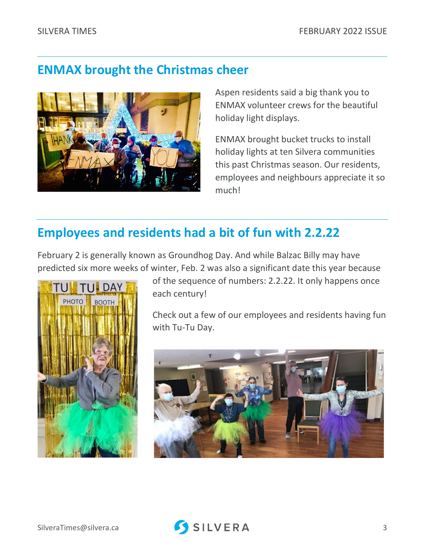#### **ENMAX brought the Christmas cheer**



Aspen residents said a big thank you to ENMAX volunteer crews for the beautiful holiday light displays.

ENMAX brought bucket trucks to install holiday lights at ten Silvera communities this past Christmas season. Our residents, employees and neighbours appreciate it so much!

## **Employees and residents had a bit of fun with 2.2.22**

February 2 is generally known as Groundhog Day. And while Balzac Billy may have predicted six more weeks of winter, Feb. 2 was also a significant date this year because



of the sequence of numbers: 2.2.22. It only happens once each century!

Check out a few of our employees and residents having fun with Tu-Tu Day.

![](_page_2_Picture_11.jpeg)

![](_page_2_Picture_13.jpeg)